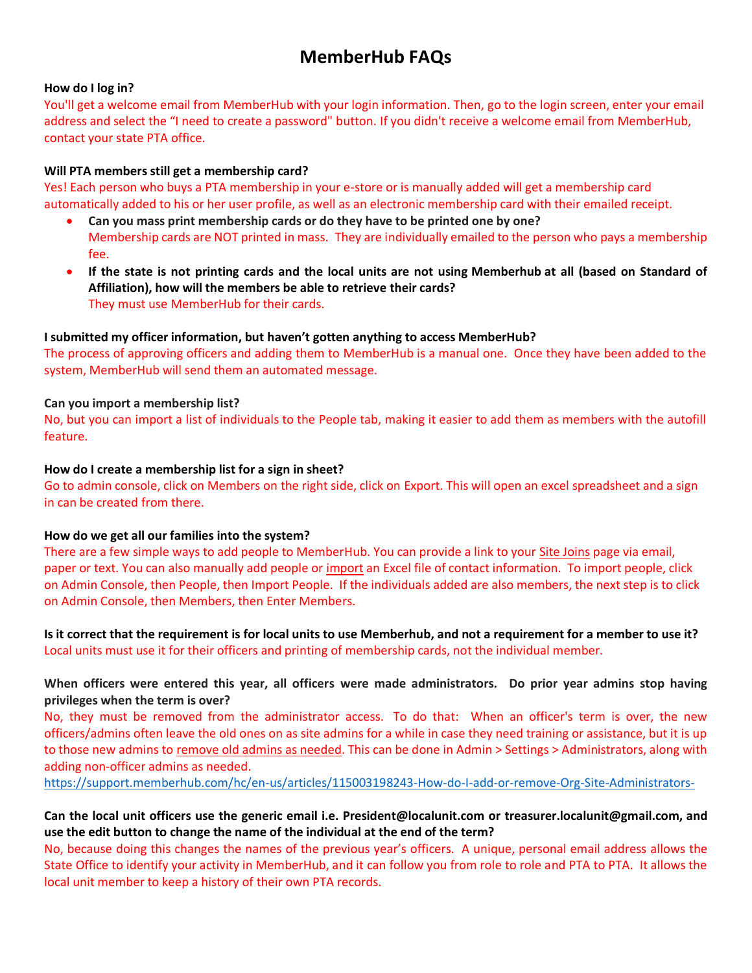# **MemberHub FAQs**

## **How do I log in?**

You'll get a welcome email from MemberHub with your login information. Then, go to the login screen, enter your email address and select the "I need to create a password" button. If you didn't receive a welcome email from MemberHub, contact your state PTA office.

#### **Will PTA members still get a membership card?**

Yes! Each person who buys a PTA membership in your e-store or is manually added will get a membership card automatically added to his or her user profile, as well as an electronic membership card with their emailed receipt.

- **Can you mass print membership cards or do they have to be printed one by one?** Membership cards are NOT printed in mass. They are individually emailed to the person who pays a membership fee.
- **If the state is not printing cards and the local units are not using Memberhub at all (based on Standard of Affiliation), how will the members be able to retrieve their cards?** They must use MemberHub for their cards.

## **I submitted my officer information, but haven't gotten anything to access MemberHub?**

The process of approving officers and adding them to MemberHub is a manual one. Once they have been added to the system, MemberHub will send them an automated message.

#### **Can you import a membership list?**

No, but you can import a list of individuals to the People tab, making it easier to add them as members with the autofill feature.

#### **How do I create a membership list for a sign in sheet?**

Go to admin console, click on Members on the right side, click on Export. This will open an excel spreadsheet and a sign in can be created from there.

## **How do we get all our families into the system?**

There are a few simple ways to add people to MemberHub. You can provide a link to your [Site Joins](http://support.memberhub.com/hc/en-us/articles/217384086) page via email, paper or text. You can also manually add people or [import](https://support.memberhub.com/hc/en-us/articles/203194279-Import-Contact-Information) an Excel file of contact information. To import people, click on Admin Console, then People, then Import People. If the individuals added are also members, the next step is to click on Admin Console, then Members, then Enter Members.

**Is it correct that the requirement is for local units to use Memberhub, and not a requirement for a member to use it?** Local units must use it for their officers and printing of membership cards, not the individual member.

# **When officers were entered this year, all officers were made administrators. Do prior year admins stop having privileges when the term is over?**

No, they must be removed from the administrator access. To do that: When an officer's term is over, the new officers/admins often leave the old ones on as site admins for a while in case they need training or assistance, but it is up to those new admins to [remove old admins as needed.](https://support.memberhub.com/hc/en-us/articles/115003198243-How-do-I-add-or-remove-Org-Site-Administrators-) This can be done in Admin > Settings > Administrators, along with adding non-officer admins as needed.

<https://support.memberhub.com/hc/en-us/articles/115003198243-How-do-I-add-or-remove-Org-Site-Administrators->

# **Can the local unit officers use the generic email i.e. President@localunit.com or treasurer.localunit@gmail.com, and use the edit button to change the name of the individual at the end of the term?**

No, because doing this changes the names of the previous year's officers. A unique, personal email address allows the State Office to identify your activity in MemberHub, and it can follow you from role to role and PTA to PTA. It allows the local unit member to keep a history of their own PTA records.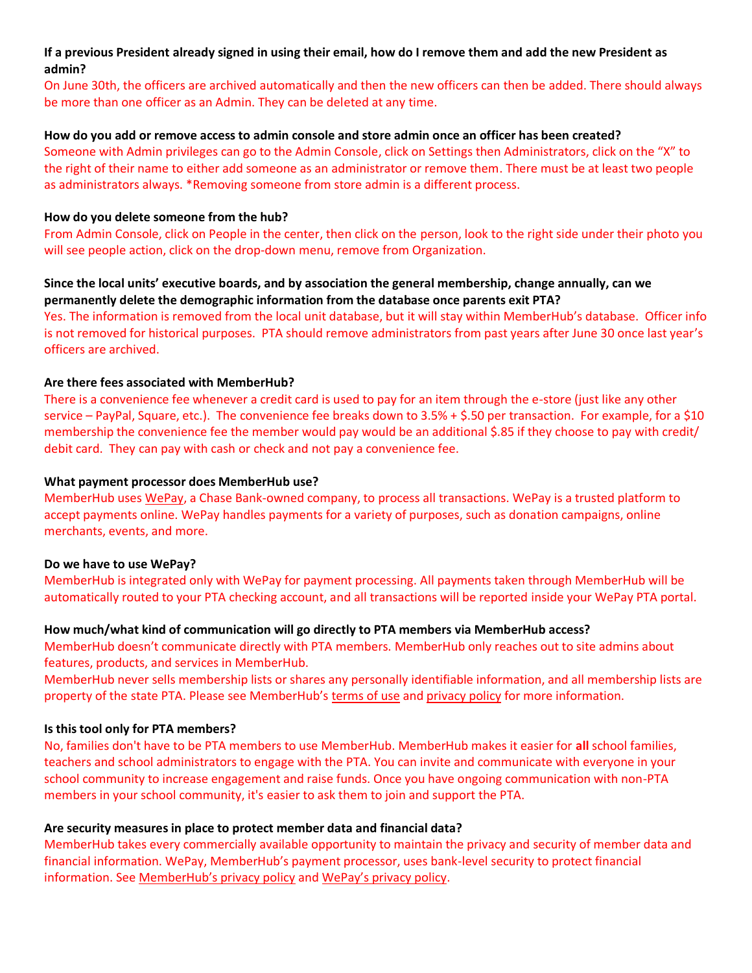# **If a previous President already signed in using their email, how do I remove them and add the new President as admin?**

On June 30th, the officers are archived automatically and then the new officers can then be added. There should always be more than one officer as an Admin. They can be deleted at any time.

#### **How do you add or remove access to admin console and store admin once an officer has been created?**

Someone with Admin privileges can go to the Admin Console, click on Settings then Administrators, click on the "X" to the right of their name to either add someone as an administrator or remove them. There must be at least two people as administrators always. \*Removing someone from store admin is a different process.

#### **How do you delete someone from the hub?**

From Admin Console, click on People in the center, then click on the person, look to the right side under their photo you will see people action, click on the drop-down menu, remove from Organization.

#### **Since the local units' executive boards, and by association the general membership, change annually, can we permanently delete the demographic information from the database once parents exit PTA?**

Yes. The information is removed from the local unit database, but it will stay within MemberHub's database. Officer info is not removed for historical purposes. PTA should remove administrators from past years after June 30 once last year's officers are archived.

## **Are there fees associated with MemberHub?**

There is a convenience fee whenever a credit card is used to pay for an item through the e-store (just like any other service – PayPal, Square, etc.). The convenience fee breaks down to 3.5% + \$.50 per transaction. For example, for a \$10 membership the convenience fee the member would pay would be an additional \$.85 if they choose to pay with credit/ debit card. They can pay with cash or check and not pay a convenience fee.

#### **What payment processor does MemberHub use?**

MemberHub uses [WePay,](https://go.wepay.com/) a Chase Bank-owned company, to process all transactions. WePay is a trusted platform to accept payments online. WePay handles payments for a variety of purposes, such as donation campaigns, online merchants, events, and more.

#### **Do we have to use WePay?**

MemberHub is integrated only with WePay for payment processing. All payments taken through MemberHub will be automatically routed to your PTA checking account, and all transactions will be reported inside your WePay PTA portal.

## **How much/what kind of communication will go directly to PTA members via MemberHub access?**

MemberHub doesn't communicate directly with PTA members. MemberHub only reaches out to site admins about features, products, and services in MemberHub.

MemberHub never sells membership lists or shares any personally identifiable information, and all membership lists are property of the state PTA. Please see MemberHub's [terms of](https://app.memberhub.com/legal/terms_of_use) use and [privacy policy](https://app.memberhub.com/legal/privacy_policy) for more information.

## **Is this tool only for PTA members?**

No, families don't have to be PTA members to use MemberHub. MemberHub makes it easier for **all** school families, teachers and school administrators to engage with the PTA. You can invite and communicate with everyone in your school community to increase engagement and raise funds. Once you have ongoing communication with non-PTA members in your school community, it's easier to ask them to join and support the PTA.

## **Are security measures in place to protect member data and financial data?**

MemberHub takes every commercially available opportunity to maintain the privacy and security of member data and financial information. WePay, MemberHub's payment processor, uses bank-level security to protect financial information. See [MemberHub's privacy policy](https://app.memberhub.com/legal/privacy_policy) and [WePay's privacy policy](https://go.wepay.com/privacy-policy).